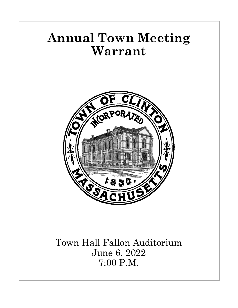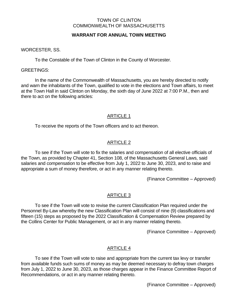#### TOWN OF CLINTON COMMONWEALTH OF MASSACHUSETTS

# **WARRANT FOR ANNUAL TOWN MEETING**

WORCESTER, SS.

To the Constable of the Town of Clinton in the County of Worcester.

GREETINGS:

In the name of the Commonwealth of Massachusetts, you are hereby directed to notify and warn the inhabitants of the Town, qualified to vote in the elections and Town affairs, to meet at the Town Hall in said Clinton on Monday, the sixth day of June 2022 at 7:00 P.M., then and there to act on the following articles:

# ARTICLE 1

To receive the reports of the Town officers and to act thereon.

# ARTICLE 2

To see if the Town will vote to fix the salaries and compensation of all elective officials of the Town, as provided by Chapter 41, Section 108, of the Massachusetts General Laws, said salaries and compensation to be effective from July 1, 2022 to June 30, 2023, and to raise and appropriate a sum of money therefore, or act in any manner relating thereto.

(Finance Committee – Approved)

# ARTICLE 3

To see if the Town will vote to revise the current Classification Plan required under the Personnel By-Law whereby the new Classification Plan will consist of nine (9) classifications and fifteen (15) steps as proposed by the 2022 Classification & Compensation Review prepared by the Collins Center for Public Management, or act in any manner relating thereto.

(Finance Committee – Approved)

# ARTICLE 4

To see if the Town will vote to raise and appropriate from the current tax levy or transfer from available funds such sums of money as may be deemed necessary to defray town charges from July 1, 2022 to June 30, 2023, as those charges appear in the Finance Committee Report of Recommendations, or act in any manner relating thereto.

(Finance Committee – Approved)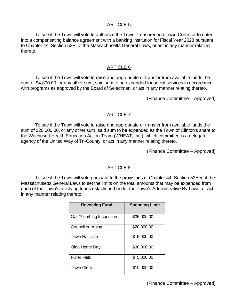To see if the Town will vote to authorize the Town Treasurer and Town Collector to enter into a compensating balance agreement with a banking institution for Fiscal Year 2023 pursuant to Chapter 44, Section 53F, of the Massachusetts General Laws, or act in any manner relating thereto.

### ARTICLE 6

To see if the Town will vote to raise and appropriate or transfer from available funds the sum of \$4,800.00, or any other sum, said sum to be expended for social services in accordance with programs as approved by the Board of Selectmen, or act in any manner relating thereto.

(Finance Committee – Approved)

### ARTICLE 7

To see if the Town will vote to raise and appropriate or transfer from available funds the sum of \$20,000.00, or any other sum, said sum to be expended as the Town of Clinton's share to the Wachusett Health Education Action Team (WHEAT, Inc.), which committee is a delegate agency of the United Way of Tri-County, or act in any manner relating thereto.

(Finance Committee – Approved)

### ARTICLE 8

To see if the Town will vote pursuant to the provisions of Chapter 44, Section 53E½ of the Massachusetts General Laws to set the limits on the total amounts that may be expended from each of the Town's revolving funds established under the Town's Administrative By-Laws, or act in any manner relating thereto.

| <b>Revolving Fund</b>   | <b>Spending Limit</b> |
|-------------------------|-----------------------|
| Gas/Plumbing Inspection | \$35,000.00           |
| Council on Aging        | \$20.000.00           |
| Town Hall Use           | \$5,000.00            |
| Olde Home Day           | \$30,000.00           |
| <b>Fuller Field</b>     | \$5,000.00            |
| <b>Town Clerk</b>       | \$10,000.00           |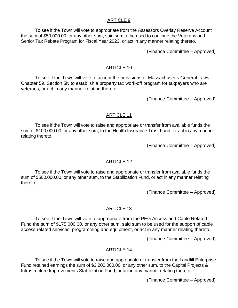To see if the Town will vote to appropriate from the Assessors Overlay Reserve Account the sum of \$50,000.00, or any other sum, said sum to be used to continue the Veterans and Senior Tax Rebate Program for Fiscal Year 2023, or act in any manner relating thereto.

(Finance Committee – Approved)

### ARTICLE 10

To see if the Town will vote to accept the provisions of Massachusetts General Laws Chapter 59, Section 5N to establish a property tax work-off program for taxpayers who are veterans, or act in any manner relating thereto.

(Finance Committee – Approved)

# ARTICLE 11

To see if the Town will vote to raise and appropriate or transfer from available funds the sum of \$100,000.00, or any other sum, to the Health Insurance Trust Fund, or act in any manner relating thereto.

(Finance Committee – Approved)

# ARTICLE 12

To see if the Town will vote to raise and appropriate or transfer from available funds the sum of \$500,000.00, or any other sum, to the Stabilization Fund, or act in any manner relating thereto.

(Finance Committee – Approved)

### ARTICLE 13

To see if the Town will vote to appropriate from the PEG Access and Cable Related Fund the sum of \$175,000.00, or any other sum, said sum to be used for the support of cable access related services, programming and equipment, or act in any manner relating thereto.

(Finance Committee – Approved)

### ARTICLE 14

To see if the Town will vote to raise and appropriate or transfer from the Landfill Enterprise Fund retained earnings the sum of \$3,200,000.00, or any other sum, to the Capital Projects & Infrastructure Improvements Stabilization Fund, or act in any manner relating thereto.

(Finance Committee – Approved)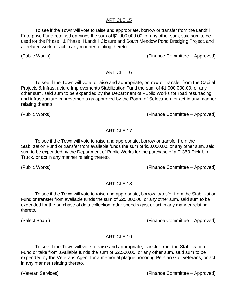To see if the Town will vote to raise and appropriate, borrow or transfer from the Landfill Enterprise Fund retained earnings the sum of \$1,000,000.00, or any other sum, said sum to be used for the Phase I & Phase II Landfill Closure and South Meadow Pond Dredging Project, and all related work, or act in any manner relating thereto.

(Public Works) (Finance Committee – Approved)

# ARTICLE 16

To see if the Town will vote to raise and appropriate, borrow or transfer from the Capital Projects & Infrastructure Improvements Stabilization Fund the sum of \$1,000,000.00, or any other sum, said sum to be expended by the Department of Public Works for road resurfacing and infrastructure improvements as approved by the Board of Selectmen, or act in any manner relating thereto.

(Public Works) (Finance Committee – Approved)

# ARTICLE 17

To see if the Town will vote to raise and appropriate, borrow or transfer from the Stabilization Fund or transfer from available funds the sum of \$50,000.00, or any other sum, said sum to be expended by the Department of Public Works for the purchase of a F-350 Pick-Up Truck, or act in any manner relating thereto.

(Public Works) (Finance Committee – Approved)

# ARTICLE 18

To see if the Town will vote to raise and appropriate, borrow, transfer from the Stabilization Fund or transfer from available funds the sum of \$25,000.00, or any other sum, said sum to be expended for the purchase of data collection radar speed signs, or act in any manner relating thereto.

(Select Board) (Finance Committee – Approved)

# ARTICLE 19

To see if the Town will vote to raise and appropriate, transfer from the Stabilization Fund or take from available funds the sum of \$2,500.00, or any other sum, said sum to be expended by the Veterans Agent for a memorial plaque honoring Persian Gulf veterans, or act in any manner relating thereto.

(Veteran Services) (Finance Committee – Approved)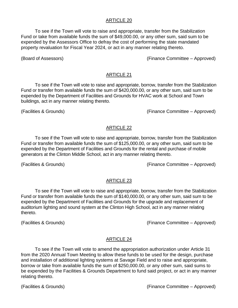To see if the Town will vote to raise and appropriate, transfer from the Stabilization Fund or take from available funds the sum of \$49,000.00, or any other sum, said sum to be expended by the Assessors Office to defray the cost of performing the state mandated property revaluation for Fiscal Year 2024, or act in any manner relating thereto.

(Board of Assessors) (Finance Committee – Approved)

### ARTICLE 21

To see if the Town will vote to raise and appropriate, borrow, transfer from the Stabilization Fund or transfer from available funds the sum of \$420,000.00, or any other sum, said sum to be expended by the Department of Facilities and Grounds for HVAC work at School and Town buildings, act in any manner relating thereto.

(Facilities & Grounds) (Finance Committee – Approved)

### ARTICLE 22

To see if the Town will vote to raise and appropriate, borrow, transfer from the Stabilization Fund or transfer from available funds the sum of \$125,000.00, or any other sum, said sum to be expended by the Department of Facilities and Grounds for the rental and purchase of mobile generators at the Clinton Middle School, act in any manner relating thereto.

(Facilities & Grounds) (Finance Committee – Approved)

# ARTICLE 23

To see if the Town will vote to raise and appropriate, borrow, transfer from the Stabilization Fund or transfer from available funds the sum of \$140,000.00, or any other sum, said sum to be expended by the Department of Facilities and Grounds for the upgrade and replacement of auditorium lighting and sound system at the Clinton High School, act in any manner relating thereto.

(Facilities & Grounds) (Finance Committee – Approved)

# ARTICLE 24

To see if the Town will vote to amend the appropriation authorization under Article 31 from the 2020 Annual Town Meeting to allow these funds to be used for the design, purchase and installation of additional lighting systems at Savage Field and to raise and appropriate, borrow or take from available funds the sum of \$250,000.00, or any other sum, said sums to be expended by the Facilities & Grounds Department to fund said project, or act in any manner relating thereto.

(Facilities & Grounds) (Finance Committee – Approved)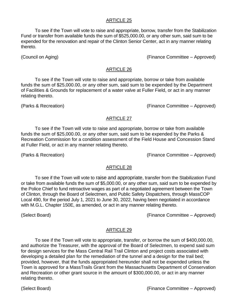To see if the Town will vote to raise and appropriate, borrow, transfer from the Stabilization Fund or transfer from available funds the sum of \$525,000.00, or any other sum, said sum to be expended for the renovation and repair of the Clinton Senior Center, act in any manner relating thereto.

(Council on Aging) (Finance Committee – Approved)

#### ARTICLE 26

To see if the Town will vote to raise and appropriate, borrow or take from available funds the sum of \$25,000.00, or any other sum, said sum to be expended by the Department of Facilities & Grounds for replacement of a water valve at Fuller Field, or act in any manner relating thereto.

(Parks & Recreation) (Finance Committee – Approved)

## ARTICLE 27

To see if the Town will vote to raise and appropriate, borrow or take from available funds the sum of \$25,000.00, or any other sum, said sum to be expended by the Parks & Recreation Commission for a condition assessment of the Field House and Concession Stand at Fuller Field, or act in any manner relating thereto.

(Parks & Recreation) (Finance Committee – Approved)

### ARTICLE 28

To see if the Town will vote to raise and appropriate, transfer from the Stabilization Fund or take from available funds the sum of \$5,000.00, or any other sum, said sum to be expended by the Police Chief to fund retroactive wages as part of a negotiated agreement between the Town of Clinton, through the Board of Selectmen, and Public Safety Dispatchers, through MassCOP Local 490, for the period July 1, 2021 to June 30, 2022, having been negotiated in accordance with M.G.L. Chapter 150E, as amended, or act in any manner relating thereto.

(Select Board) (Finance Committee – Approved)

### ARTICLE 29

To see if the Town will vote to appropriate, transfer, or borrow the sum of \$400,000.00, and authorize the Treasurer, with the approval of the Board of Selectmen, to expend said sum for design services for the Mass Central Rail Trail Clinton and project costs associated with developing a detailed plan for the remediation of the tunnel and a design for the trail bed; provided, however, that the funds appropriated hereunder shall not be expended unless the Town is approved for a MassTrails Grant from the Massachusetts Department of Conservation and Recreation or other grant source in the amount of \$300,000.00, or act in any manner relating thereto.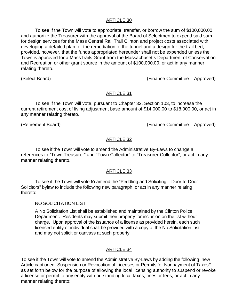To see if the Town will vote to appropriate, transfer, or borrow the sum of \$100,000.00, and authorize the Treasurer with the approval of the Board of Selectmen to expend said sum for design services for the Mass Central Rail Trail Clinton and project costs associated with developing a detailed plan for the remediation of the tunnel and a design for the trail bed; provided, however, that the funds appropriated hereunder shall not be expended unless the Town is approved for a MassTrails Grant from the Massachusetts Department of Conservation and Recreation or other grant source in the amount of \$100,000.00, or act in any manner relating thereto.

(Select Board) (Finance Committee – Approved)

## ARTICLE 31

To see if the Town will vote, pursuant to Chapter 32, Section 103, to increase the current retirement cost of living adjustment base amount of \$14,000.00 to \$18,000.00, or act in any manner relating thereto.

(Retirement Board) (Finance Committee – Approved)

# ARTICLE 32

To see if the Town will vote to amend the Administrative By-Laws to change all references to "Town Treasurer" and "Town Collector" to "Treasurer-Collector", or act in any manner relating thereto.

# ARTICLE 33

To see if the Town will vote to amend the "Peddling and Soliciting – Door-to-Door Solicitors" bylaw to include the following new paragraph, or act in any manner relating thereto:

### NO SOLICITATION LIST

A No Solicitation List shall be established and maintained by the Clinton Police Department. Residents may submit their property for inclusion on the list without charge. Upon approval of the issuance of a license as provided herein, each such licensed entity or individual shall be provided with a copy of the No Solicitation List and may not solicit or canvass at such property.

# ARTICLE 34

To see if the Town will vote to amend the Administrative By-Laws by adding the following new Article captioned "Suspension or Revocation of Licenses or Permits for Nonpayment of Taxes**"** as set forth below for the purpose of allowing the local licensing authority to suspend or revoke a license or permit to any entity with outstanding local taxes, fines or fees, or act in any manner relating thereto: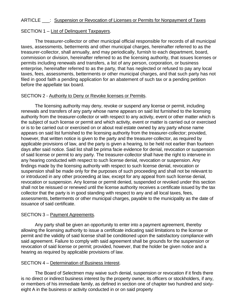#### ARTICLE : Suspension or Revocation of Licenses or Permits for Nonpayment of Taxes

### SECTION 1 – List of Delinquent Taxpayers.

The treasurer-collector or other municipal official responsible for records of all municipal taxes, assessments, betterments and other municipal charges, hereinafter referred to as the treasurer-collector, shall annually, and may periodically, furnish to each department, board, commission or division, hereinafter referred to as the licensing authority, that issues licenses or permits including renewals and transfers, a list of any person, corporation, or business enterprise, hereinafter referred to as the party, that has neglected or refused to pay any local taxes, fees, assessments, betterments or other municipal charges, and that such party has not filed in good faith a pending application for an abatement of such tax or a pending petition before the appellate tax board.

## SECTION 2 - Authority to Deny or Revoke licenses or Permits.

The licensing authority may deny, revoke or suspend any license or permit, including renewals and transfers of any party whose name appears on said list furnished to the licensing authority from the treasurer-collector or with respect to any activity, event or other matter which is the subject of such license or permit and which activity, event or matter is carried out or exercised or is to be carried out or exercised on or about real estate owned by any party whose name appears on said list furnished to the licensing authority from the treasurer-collector; provided, however, that written notice is given to the party and the treasurer-collector, as required by applicable provisions of law, and the party is given a hearing, to be held not earlier than fourteen days after said notice. Said list shall be prima facie evidence for denial, revocation or suspension of said license or permit to any party. The treasurer-collector shall have the right to intervene in any hearing conducted with respect to such license denial, revocation or suspension. Any findings made by the licensing authority with respect to such license denial, revocation or suspension shall be made only for the purposes of such proceeding and shall not be relevant to or introduced in any other proceeding at law, except for any appeal from such license denial, revocation or suspension. Any license or permit denied, suspended or revoked under this section shall not be reissued or renewed until the license authority receives a certificate issued by the tax collector that the party is in good standing with respect to any and all local taxes, fees, assessments, betterments or other municipal charges, payable to the municipality as the date of issuance of said certificate.

### SECTION 3 – Payment Agreements.

Any party shall be given an opportunity to enter into a payment agreement, thereby allowing the licensing authority to issue a certificate indicating said limitations to the license or permit and the validity of said license shall be conditioned upon the satisfactory compliance with said agreement. Failure to comply with said agreement shall be grounds for the suspension or revocation of said license or permit; provided, however, that the holder be given notice and a hearing as required by applicable provisions of law.

### SECTION 4 – Determination of Business Interest.

The Board of Selectmen may waive such denial, suspension or revocation if it finds there is no direct or indirect business interest by the property owner, its officers or stockholders, if any, or members of his immediate family, as defined in section one of chapter two hundred and sixtyeight A in the business or activity conducted in or on said property